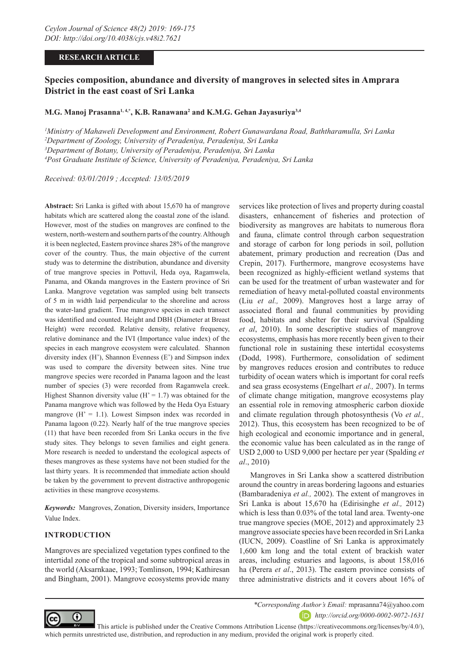#### **RESEARCH ARTICLE**

# **Species composition, abundance and diversity of mangroves in selected sites in Amprara District in the east coast of Sri Lanka**

#### **M.G. Manoj Prasanna1, 4,\*, K.B. Ranawana2 and K.M.G. Gehan Jayasuriya3,4**

 *Ministry of Mahaweli Development and Environment, Robert Gunawardana Road, Baththaramulla, Sri Lanka Department of Zoology, University of Peradeniya, Peradeniya, Sri Lanka Department of Botany, University of Peradeniya, Peradeniya, Sri Lanka Post Graduate Institute of Science, University of Peradeniya, Peradeniya, Sri Lanka*

*Received: 03/01/2019 ; Accepted: 13/05/2019*

**Abstract:** Sri Lanka is gifted with about 15,670 ha of mangrove habitats which are scattered along the coastal zone of the island. However, most of the studies on mangroves are confined to the western, north-western and southern parts of the country. Although it is been neglected, Eastern province shares 28% of the mangrove cover of the country. Thus, the main objective of the current study was to determine the distribution, abundance and diversity of true mangrove species in Pottuvil, Heda oya, Ragamwela, Panama, and Okanda mangroves in the Eastern province of Sri Lanka. Mangrove vegetation was sampled using belt transects of 5 m in width laid perpendicular to the shoreline and across the water-land gradient. True mangrove species in each transect was identified and counted. Height and DBH (Diameter at Breast Height) were recorded. Relative density, relative frequency, relative dominance and the IVI (Importance value index) of the species in each mangrove ecosystem were calculated. Shannon diversity index (H'), Shannon Evenness (E') and Simpson index was used to compare the diversity between sites. Nine true mangrove species were recorded in Panama lagoon and the least number of species (3) were recorded from Ragamwela creek. Highest Shannon diversity value ( $H' = 1.7$ ) was obtained for the Panama mangrove which was followed by the Heda Oya Estuary mangrove  $(H' = 1.1)$ . Lowest Simpson index was recorded in Panama lagoon (0.22). Nearly half of the true mangrove species (11) that have been recorded from Sri Lanka occurs in the five study sites. They belongs to seven families and eight genera. More research is needed to understand the ecological aspects of theses mangroves as these systems have not been studied for the last thirty years. It is recommended that immediate action should be taken by the government to prevent distractive anthropogenic activities in these mangrove ecosystems.

*Keywords:* Mangroves, Zonation, Diversity insiders, Importance Value Index.

# **INTRODUCTION**

Mangroves are specialized vegetation types confined to the intertidal zone of the tropical and some subtropical areas in the world (Aksarnkaae, 1993; Tomlinson, 1994; Kathiresan and Bingham, 2001). Mangrove ecosystems provide many

services like protection of lives and property during coastal disasters, enhancement of fisheries and protection of biodiversity as mangroves are habitats to numerous flora and fauna, climate control through carbon sequestration and storage of carbon for long periods in soil, pollution abatement, primary production and recreation (Das and Crepin, 2017). Furthermore, mangrove ecosystems have been recognized as highly-efficient wetland systems that can be used for the treatment of urban wastewater and for remediation of heavy metal-polluted coastal environments (Liu *et al.,* 2009). Mangroves host a large array of associated floral and faunal communities by providing food, habitats and shelter for their survival (Spalding *et al*, 2010). In some descriptive studies of mangrove ecosystems, emphasis has more recently been given to their functional role in sustaining these intertidal ecosystems (Dodd, 1998). Furthermore, consolidation of sediment by mangroves reduces erosion and contributes to reduce turbidity of ocean waters which is important for coral reefs and sea grass ecosystems (Engelhart *et al.,* 2007). In terms of climate change mitigation, mangrove ecosystems play an essential role in removing atmospheric carbon dioxide and climate regulation through photosynthesis (Vo *et al.,* 2012). Thus, this ecosystem has been recognized to be of high ecological and economic importance and in general, the economic value has been calculated as in the range of USD 2,000 to USD 9,000 per hectare per year (Spalding *et al*., 2010)

Mangroves in Sri Lanka show a scattered distribution around the country in areas bordering lagoons and estuaries (Bambaradeniya *et al.,* 2002). The extent of mangroves in Sri Lanka is about 15,670 ha (Edirisinghe *et al.,* 2012) which is less than 0.03% of the total land area. Twenty-one true mangrove species (MOE, 2012) and approximately 23 mangrove associate species have been recorded in Sri Lanka (IUCN, 2009). Coastline of Sri Lanka is approximately 1,600 km long and the total extent of brackish water areas, including estuaries and lagoons, is about 158,016 ha (Perera *et al*., 2013). The eastern province consists of three administrative districts and it covers about 16% of



*\*Corresponding Author's Email:* mprasanna74@yahoo.com *http://orcid.org/0000-0002-9072-1631*

 This article is published under the Creative Commons Attribution License (https://creativecommons.org/licenses/by/4.0/), which permits unrestricted use, distribution, and reproduction in any medium, provided the original work is properly cited.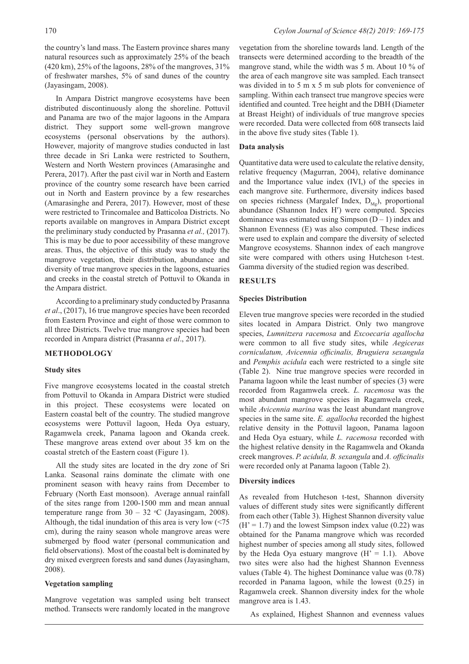the country's land mass. The Eastern province shares many natural resources such as approximately 25% of the beach  $(420 \text{ km})$ ,  $25\%$  of the lagoons,  $28\%$  of the mangroves,  $31\%$ of freshwater marshes, 5% of sand dunes of the country (Jayasingam, 2008).

In Ampara District mangrove ecosystems have been distributed discontinuously along the shoreline. Pottuvil and Panama are two of the major lagoons in the Ampara district. They support some well-grown mangrove ecosystems (personal observations by the authors). However, majority of mangrove studies conducted in last three decade in Sri Lanka were restricted to Southern, Western and North Western provinces (Amarasinghe and Perera, 2017). After the past civil war in North and Eastern province of the country some research have been carried out in North and Eastern province by a few researches (Amarasinghe and Perera, 2017). However, most of these were restricted to Trincomalee and Batticoloa Districts. No reports available on mangroves in Ampara District except the preliminary study conducted by Prasanna *et al.,* (2017). This is may be due to poor accessibility of these mangrove areas. Thus, the objective of this study was to study the mangrove vegetation, their distribution, abundance and diversity of true mangrove species in the lagoons, estuaries and creeks in the coastal stretch of Pottuvil to Okanda in the Ampara district.

According to a preliminary study conducted by Prasanna *et al*., (2017), 16 true mangrove species have been recorded from Eastern Province and eight of those were common to all three Districts. Twelve true mangrove species had been recorded in Ampara district (Prasanna *et al*., 2017).

# **METHODOLOGY**

# **Study sites**

Five mangrove ecosystems located in the coastal stretch from Pottuvil to Okanda in Ampara District were studied in this project. These ecosystems were located on Eastern coastal belt of the country. The studied mangrove ecosystems were Pottuvil lagoon, Heda Oya estuary, Ragamwela creek, Panama lagoon and Okanda creek. These mangrove areas extend over about 35 km on the coastal stretch of the Eastern coast (Figure 1).

All the study sites are located in the dry zone of Sri Lanka. Seasonal rains dominate the climate with one prominent season with heavy rains from December to February (North East monsoon). Average annual rainfall of the sites range from 1200-1500 mm and mean annual temperature range from  $30 - 32$  °C (Jayasingam, 2008). Although, the tidal inundation of this area is very low (<75 cm), during the rainy season whole mangrove areas were submerged by flood water (personal communication and field observations). Most of the coastal belt is dominated by dry mixed evergreen forests and sand dunes (Jayasingham, 2008).

# **Vegetation sampling**

Mangrove vegetation was sampled using belt transect method. Transects were randomly located in the mangrove vegetation from the shoreline towards land. Length of the transects were determined according to the breadth of the mangrove stand, while the width was 5 m. About 10 % of the area of each mangrove site was sampled. Each transect was divided in to 5 m x 5 m sub plots for convenience of sampling. Within each transect true mangrove species were identified and counted. Tree height and the DBH (Diameter at Breast Height) of individuals of true mangrove species were recorded. Data were collected from 608 transects laid in the above five study sites (Table 1).

#### **Data analysis**

Quantitative data were used to calculate the relative density, relative frequency (Magurran, 2004), relative dominance and the Importance value index (IVI,) of the species in each mangrove site. Furthermore, diversity indices based on species richness (Margalef Index,  $D_{Mg}$ ), proportional abundance (Shannon Index H') were computed. Species dominance was estimated using Simpson  $(D - 1)$  index and Shannon Evenness (E) was also computed. These indices were used to explain and compare the diversity of selected Mangrove ecosystems. Shannon index of each mangrove site were compared with others using Hutcheson t-test. Gamma diversity of the studied region was described.

# **RESULTS**

#### **Species Distribution**

Eleven true mangrove species were recorded in the studied sites located in Ampara District. Only two mangrove species, *Lumnitzera racemosa* and *Excoecaria agallocha*  were common to all five study sites, while *Aegiceras corniculatum, Avicennia officinalis, Bruguiera sexangula*  and *Pemphis acidula* each were restricted to a single site (Table 2). Nine true mangrove species were recorded in Panama lagoon while the least number of species (3) were recorded from Ragamwela creek. *L. racemosa* was the most abundant mangrove species in Ragamwela creek, while *Avicennia marina* was the least abundant mangrove species in the same site. *E. agallocha* recorded the highest relative density in the Pottuvil lagoon, Panama lagoon and Heda Oya estuary, while *L. racemosa* recorded with the highest relative density in the Ragamwela and Okanda creek mangroves. *P. acidula, B. sexangula* and *A. officinalis* were recorded only at Panama lagoon (Table 2).

# **Diversity indices**

As revealed from Hutcheson t-test, Shannon diversity values of different study sites were significantly different from each other (Table 3). Highest Shannon diversity value  $(H' = 1.7)$  and the lowest Simpson index value  $(0.22)$  was obtained for the Panama mangrove which was recorded highest number of species among all study sites, followed by the Heda Oya estuary mangrove  $(H' = 1.1)$ . Above two sites were also had the highest Shannon Evenness values (Table 4). The highest Dominance value was (0.78) recorded in Panama lagoon, while the lowest (0.25) in Ragamwela creek. Shannon diversity index for the whole mangrove area is 1.43.

As explained, Highest Shannon and evenness values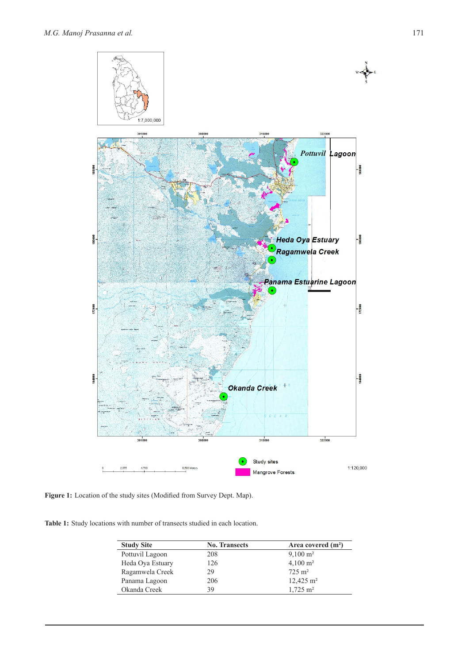

**Figure 1:** Location of the study sites (Modified from Survey Dept. Map).

**Table 1:** Study locations with number of transects studied in each location.

| <b>Study Site</b> | <b>No. Transects</b> | Area covered $(m2)$     |
|-------------------|----------------------|-------------------------|
| Pottuvil Lagoon   | 208                  | $9,100 \text{ m}^2$     |
| Heda Oya Estuary  | 126                  | $4,100 \text{ m}^2$     |
| Ragamwela Creek   | 29                   | $72.5 \text{ m}^2$      |
| Panama Lagoon     | 206                  | $12,425 \text{ m}^2$    |
| Okanda Creek      | 39                   | $1,725 \; \mathrm{m}^2$ |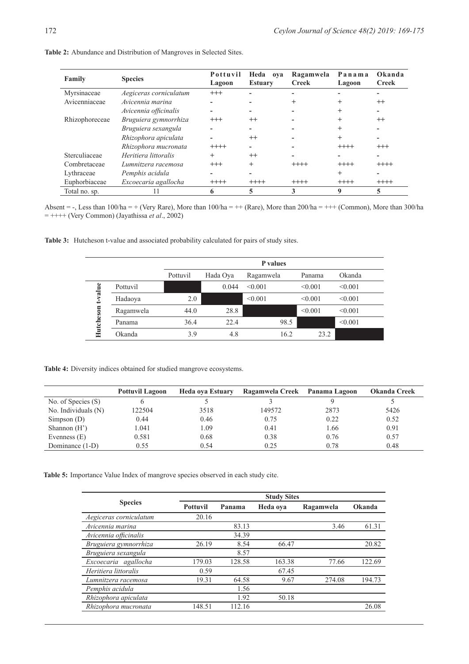| Family         | <b>Species</b>         | Pottuvil<br>Lagoon | Heda<br>ova<br><b>Estuary</b> | Ragamwela<br><b>Creek</b> | Panama<br>Lagoon | Okanda<br><b>Creek</b> |
|----------------|------------------------|--------------------|-------------------------------|---------------------------|------------------|------------------------|
| Myrsinaceae    | Aegiceras corniculatum | $^{+++}$           |                               |                           |                  |                        |
| Avicenniaceae  | Avicennia marina       |                    |                               |                           |                  | $^{++}$                |
|                | Avicennia officinalis  |                    |                               |                           |                  |                        |
| Rhizophoreceae | Bruguiera gymnorrhiza  | $^{+++}$           | $^{++}$                       |                           | $\ddot{}$        | $^{++}$                |
|                | Bruguiera sexangula    |                    |                               |                           |                  |                        |
|                | Rhizophora apiculata   |                    | $^{++}$                       |                           |                  |                        |
|                | Rhizophora mucronata   | $+++++$            |                               |                           | $+++++$          | $^{+++}$               |
| Sterculiaceae  | Heritiera littoralis   | $+$                | $^{++}$                       |                           |                  |                        |
| Combretaceae   | Lumnitzera racemosa    | $^{+++}$           | $^{+}$                        | $++++-$                   | $+++++$          | $+++++$                |
| Lythraceae     | Pemphis acidula        |                    |                               |                           | $^{+}$           |                        |
| Euphorbiaceae  | Excoecaria agallocha   | $+++++$            | $+++++$                       | $++++-$                   | $+++++$          | $+++++$                |
| Total no. sp.  |                        |                    |                               |                           | 9                |                        |

**Table 2:** Abundance and Distribution of Mangroves in Selected Sites.

Absent = -, Less than  $100/ha$  = + (Very Rare), More than  $100/ha$  = ++ (Rare), More than  $200/ha$  = +++ (Common), More than  $300/ha$ = ++++ (Very Common) (Jayathissa *et al*., 2002)

**Table 3:** Hutcheson t-value and associated probability calculated for pairs of study sites.

|           | P values  |          |          |           |         |         |
|-----------|-----------|----------|----------|-----------|---------|---------|
|           |           | Pottuvil | Hada Oya | Ragamwela | Panama  | Okanda  |
| value     | Pottuvil  |          | 0.044    | < 0.001   | < 0.001 | < 0.001 |
|           | Hadaoya   | 2.0      |          | < 0.001   | < 0.001 | < 0.001 |
|           | Ragamwela | 44.0     | 28.8     |           | < 0.001 | < 0.001 |
| Hutcheson | Panama    | 36.4     | 22.4     | 98.5      |         | < 0.001 |
|           | Okanda    | 3.9      | 4.8      | 16.2      | 23.2    |         |

**Table 4:** Diversity indices obtained for studied mangrove ecosystems.

|                       | <b>Pottuvil Lagoon</b> | Heda oya Estuary | Ragamwela Creek | Panama Lagoon | <b>Okanda Creek</b> |
|-----------------------|------------------------|------------------|-----------------|---------------|---------------------|
| No. of Species (S)    |                        |                  |                 |               |                     |
| No. Individuals $(N)$ | 122504                 | 3518             | 149572          | 2873          | 5426                |
| Simpson $(D)$         | 0.44                   | 0.46             | 0.75            | 0.22          | 0.52                |
| Shannon $(H')$        | 1.041                  | 1.09             | 0.41            | 1.66          | 0.91                |
| Evenness $(E)$        | 0.581                  | 0.68             | 0.38            | 0.76          | 0.57                |
| Dominance (1-D)       | 0.55                   | 0.54             | 0.25            | 0.78          | 0.48                |

**Table 5:** Importance Value Index of mangrove species observed in each study cite.

|                        | <b>Study Sites</b> |        |          |           |        |  |  |
|------------------------|--------------------|--------|----------|-----------|--------|--|--|
| <b>Species</b>         | <b>Pottuvil</b>    | Panama | Heda oya | Ragamwela | Okanda |  |  |
| Aegiceras corniculatum | 20.16              |        |          |           |        |  |  |
| Avicennia marina       |                    | 83.13  |          | 3.46      | 61.31  |  |  |
| Avicennia officinalis  |                    | 34.39  |          |           |        |  |  |
| Bruguiera gymnorrhiza  | 26.19              | 8.54   | 66.47    |           | 20.82  |  |  |
| Bruguiera sexangula    |                    | 8.57   |          |           |        |  |  |
| Excoecaria agallocha   | 179.03             | 128.58 | 163.38   | 77.66     | 122.69 |  |  |
| Heritiera littoralis   | 0.59               |        | 67.45    |           |        |  |  |
| Lumnitzera racemosa    | 19.31              | 64.58  | 9.67     | 274.08    | 194.73 |  |  |
| Pemphis acidula        |                    | 1.56   |          |           |        |  |  |
| Rhizophora apiculata   |                    | 1.92   | 50.18    |           |        |  |  |
| Rhizophora mucronata   | 148.51             | 112.16 |          |           | 26.08  |  |  |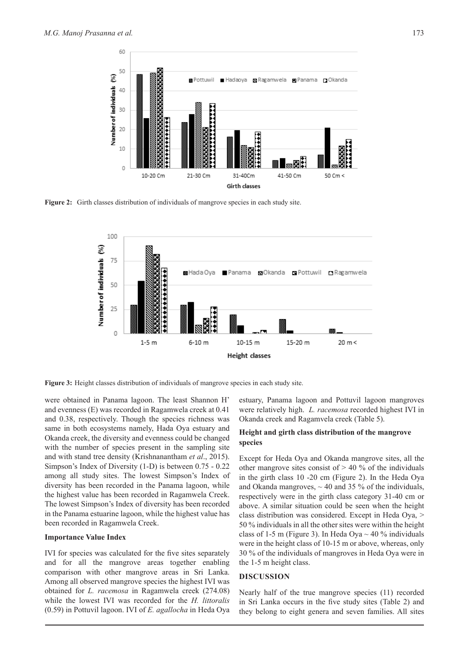

**Figure 2:** Girth classes distribution of individuals of mangrove species in each study site.



**Figure 3:** Height classes distribution of individuals of mangrove species in each study site.

were obtained in Panama lagoon. The least Shannon H' and evenness (E) was recorded in Ragamwela creek at 0.41 and 0.38, respectively. Though the species richness was same in both ecosystems namely, Hada Oya estuary and Okanda creek, the diversity and evenness could be changed with the number of species present in the sampling site and with stand tree density (Krishnanantham *et al*., 2015). Simpson's Index of Diversity (1-D) is between 0.75 - 0.22 among all study sites. The lowest Simpson's Index of diversity has been recorded in the Panama lagoon, while the highest value has been recorded in Ragamwela Creek. The lowest Simpson's Index of diversity has been recorded in the Panama estuarine lagoon, while the highest value has been recorded in Ragamwela Creek.

#### **Importance Value Index**

IVI for species was calculated for the five sites separately and for all the mangrove areas together enabling comparison with other mangrove areas in Sri Lanka. Among all observed mangrove species the highest IVI was obtained for *L. racemosa* in Ragamwela creek (274.08) while the lowest IVI was recorded for the *H. littoralis*  (0.59) in Pottuvil lagoon. IVI of *E. agallocha* in Heda Oya

estuary, Panama lagoon and Pottuvil lagoon mangroves were relatively high. *L. racemosa* recorded highest IVI in Okanda creek and Ragamvela creek (Table 5).

# **Height and girth class distribution of the mangrove species**

Except for Heda Oya and Okanda mangrove sites, all the other mangrove sites consist of  $> 40\%$  of the individuals in the girth class 10 -20 cm (Figure 2). In the Heda Oya and Okanda mangroves,  $\sim$  40 and 35 % of the individuals, respectively were in the girth class category 31-40 cm or above. A similar situation could be seen when the height class distribution was considered. Except in Heda Oya, > 50 % individuals in all the other sites were within the height class of 1-5 m (Figure 3). In Heda Oya  $\sim$  40 % individuals were in the height class of 10-15 m or above, whereas, only 30 % of the individuals of mangroves in Heda Oya were in the 1-5 m height class.

#### **DISCUSSION**

Nearly half of the true mangrove species (11) recorded in Sri Lanka occurs in the five study sites (Table 2) and they belong to eight genera and seven families. All sites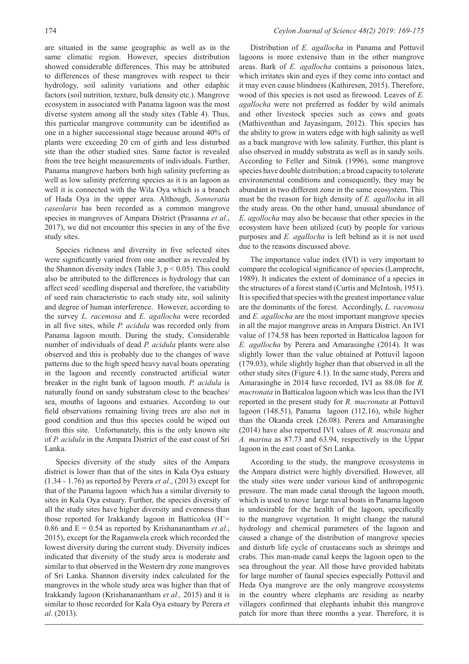are situated in the same geographic as well as in the same climatic region. However, species distribution showed considerable differences. This may be attributed to differences of these mangroves with respect to their hydrology, soil salinity variations and other edaphic factors (soil nutrition, texture, bulk density etc.). Mangrove ecosystem in associated with Panama lagoon was the most diverse system among all the study sites (Table 4). Thus, this particular mangrove community can be identified as one in a higher successional stage because around 40% of plants were exceeding 20 cm of girth and less disturbed site than the other studied sites. Same factor is revealed from the tree height measurements of individuals. Further, Panama mangrove harbors both high salinity preferring as well as low salinity preferring species as it is an lagoon as well it is connected with the Wila Oya which is a branch of Hada Oya in the upper area. Although, *Sonneratia caseolaris* has been recorded as a common mangrove species in mangroves of Ampara District (Prasanna *et al*., 2017), we did not encounter this species in any of the five study sites.

Species richness and diversity in five selected sites were significantly varied from one another as revealed by the Shannon diversity index (Table 3,  $p < 0.05$ ). This could also be attributed to the differences is hydrology that can affect seed/ seedling dispersal and therefore, the variability of seed rain characteristic to each study site, soil salinity and degree of human interference. However, according to the survey *L. racemosa* and *E. agallocha* were recorded in all five sites, while *P. acidula* was recorded only from Panama lagoon mouth. During the study, Considerable number of individuals of dead *P. acidula* plants were also observed and this is probably due to the changes of wave patterns due to the high speed heavy naval boats operating in the lagoon and recently constructed artificial water breaker in the right bank of lagoon mouth. *P. acidula* is naturally found on sandy substratum close to the beaches/ sea, mouths of lagoons and estuaries. According to our field observations remaining living trees are also not in good condition and thus this species could be wiped out from this site. Unfortunately, this is the only known site of *P. acidula* in the Ampara District of the east coast of Sri Lanka.

Species diversity of the study sites of the Ampara district is lower than that of the sites in Kala Oya estuary (1.34 - 1.76) as reported by Perera *et al*., (2013) except for that of the Panama lagoon which has a similar diversity to sites in Kala Oya estuary. Further, the species diversity of all the study sites have higher diversity and evenness than those reported for Irakkandy lagoon in Batticoloa (H'= 0.86 and E = 0.54 as reported by Krishananantham *et al*., 2015), except for the Ragamwela creek which recorded the lowest diversity during the current study. Diversity indices indicated that diversity of the study area is moderate and similar to that observed in the Western dry zone mangroves of Sri Lanka. Shannon diversity index calculated for the mangroves in the whole study area was higher than that of Irakkandy lagoon (Krishananantham *et al.,* 2015) and it is similar to those recorded for Kala Oya estuary by Perera *et al.* (2013).

Distribution of *E. agallocha* in Panama and Pottuvil lagoons is more extensive than in the other mangrove areas. Bark of *E. agallocha* contains a poisonous latex, which irritates skin and eyes if they come into contact and it may even cause blindness (Kathiresen, 2015). Therefore, wood of this species is not used as firewood. Leaves of *E. agallocha* were not preferred as fodder by wild animals and other livestock species such as cows and goats (Mathiventhan and Jayasingam, 2012). This species has the ability to grow in waters edge with high salinity as well as a back mangrove with low salinity. Further, this plant is also observed in muddy substrata as well as in sandy soils. According to Feller and Sitnik (1996), some mangrove species have double distribution; a broad capacity to tolerate environmental conditions and consequently, they may be abundant in two different zone in the same ecosystem. This must be the reason for high density of *E. agallocha* in all the study areas. On the other hand, unusual abundance of *E. agollocha* may also be because that other species in the ecosystem have been utilized (cut) by people for various purposes and *E. agallocha* is left behind as it is not used due to the reasons discussed above.

The importance value index (IVI) is very important to compare the ecological significance of species (Lamprecht, 1989). It indicates the extent of dominance of a species in the structures of a forest stand (Curtis and McIntosh, 1951). It is specified that species with the greatest importance value are the dominants of the forest. Accordingly, *L. racemosa*  and *E. agallocha* are the most important mangrove species in all the major mangrove areas in Ampara District. An IVI value of 174.58 has been reported in Batticaloa lagoon for *E. agallocha* by Perera and Amarasinghe (2014). It was slightly lower than the value obtained at Pottuvil lagoon (179.03), while slightly higher than that observed in all the other study sites (Figure 4.1). In the same study, Perera and Amarasinghe in 2014 have recorded, IVI as 88.08 for *R. mucronata* in Batticaloa lagoon which was less than the IVI reported in the present study for *R. mucronata* at Pottuvil lagoon (148.51), Panama lagoon (112.16), while higher than the Okanda creek (26.08). Perera and Amarasinghe (2014) have also reported IVI values of *R. mucronata* and *A. marina* as 87.73 and 63.94, respectively in the Uppar lagoon in the east coast of Sri Lanka.

According to the study, the mangrove ecosystems in the Ampara district were highly diversified. However, all the study sites were under various kind of anthropogenic pressure. The man made canal through the lagoon mouth, which is used to move large naval boats in Panama lagoon is undesirable for the health of the lagoon, specifically to the mangrove vegetation. It might change the natural hydrology and chemical parameters of the lagoon and caused a change of the distribution of mangrove species and disturb life cycle of crustaceans such as shrimps and crabs. This man-made canal keeps the lagoon open to the sea throughout the year. All those have provided habitats for large number of faunal species especially Pottuvil and Heda Oya mangrove are the only mangrove ecosystems in the country where elephants are residing as nearby villagers confirmed that elephants inhabit this mangrove patch for more than three months a year. Therefore, it is